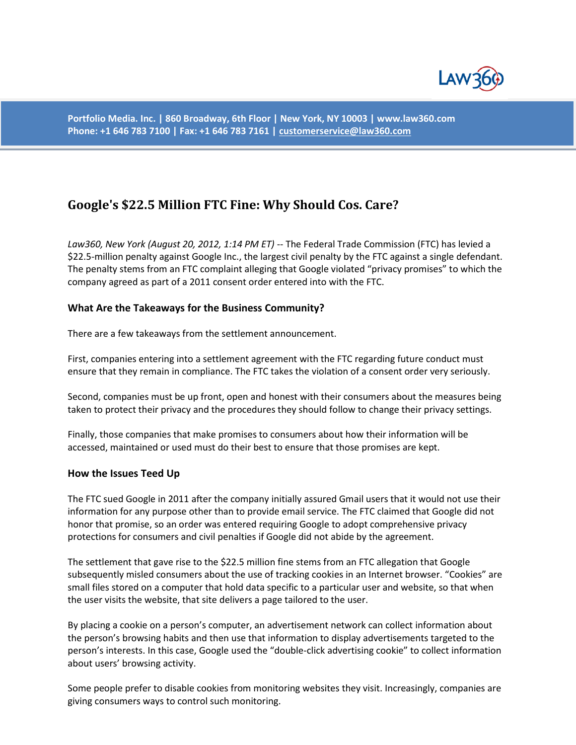

**Portfolio Media. Inc. | 860 Broadway, 6th Floor | New York, NY 10003 | www.law360.com Phone: +1 646 783 7100 | Fax: +1 646 783 7161 [| customerservice@law360.com](mailto:customerservice@law360.com)**

# **Google's \$22.5 Million FTC Fine: Why Should Cos. Care?**

*Law360, New York (August 20, 2012, 1:14 PM ET)* -- The Federal Trade Commission (FTC) has levied a \$22.5-million penalty against Google Inc., the largest civil penalty by the FTC against a single defendant. The penalty stems from an FTC complaint alleging that Google violated "privacy promises" to which the company agreed as part of a 2011 consent order entered into with the FTC.

### **What Are the Takeaways for the Business Community?**

There are a few takeaways from the settlement announcement.

First, companies entering into a settlement agreement with the FTC regarding future conduct must ensure that they remain in compliance. The FTC takes the violation of a consent order very seriously.

Second, companies must be up front, open and honest with their consumers about the measures being taken to protect their privacy and the procedures they should follow to change their privacy settings.

Finally, those companies that make promises to consumers about how their information will be accessed, maintained or used must do their best to ensure that those promises are kept.

#### **How the Issues Teed Up**

The FTC sued Google in 2011 after the company initially assured Gmail users that it would not use their information for any purpose other than to provide email service. The FTC claimed that Google did not honor that promise, so an order was entered requiring Google to adopt comprehensive privacy protections for consumers and civil penalties if Google did not abide by the agreement.

The settlement that gave rise to the \$22.5 million fine stems from an FTC allegation that Google subsequently misled consumers about the use of tracking cookies in an Internet browser. "Cookies" are small files stored on a computer that hold data specific to a particular user and website, so that when the user visits the website, that site delivers a page tailored to the user.

By placing a cookie on a person's computer, an advertisement network can collect information about the person's browsing habits and then use that information to display advertisements targeted to the person's interests. In this case, Google used the "double-click advertising cookie" to collect information about users' browsing activity.

Some people prefer to disable cookies from monitoring websites they visit. Increasingly, companies are giving consumers ways to control such monitoring.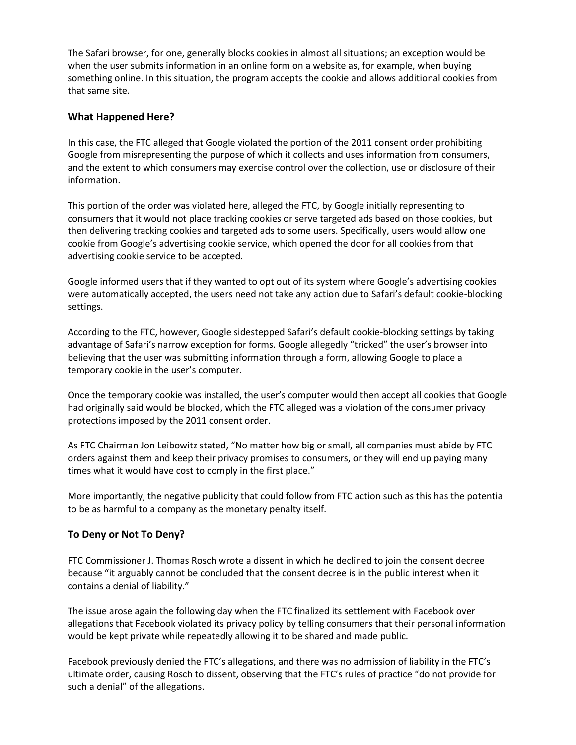The Safari browser, for one, generally blocks cookies in almost all situations; an exception would be when the user submits information in an online form on a website as, for example, when buying something online. In this situation, the program accepts the cookie and allows additional cookies from that same site.

## **What Happened Here?**

In this case, the FTC alleged that Google violated the portion of the 2011 consent order prohibiting Google from misrepresenting the purpose of which it collects and uses information from consumers, and the extent to which consumers may exercise control over the collection, use or disclosure of their information.

This portion of the order was violated here, alleged the FTC, by Google initially representing to consumers that it would not place tracking cookies or serve targeted ads based on those cookies, but then delivering tracking cookies and targeted ads to some users. Specifically, users would allow one cookie from Google's advertising cookie service, which opened the door for all cookies from that advertising cookie service to be accepted.

Google informed users that if they wanted to opt out of its system where Google's advertising cookies were automatically accepted, the users need not take any action due to Safari's default cookie-blocking settings.

According to the FTC, however, Google sidestepped Safari's default cookie-blocking settings by taking advantage of Safari's narrow exception for forms. Google allegedly "tricked" the user's browser into believing that the user was submitting information through a form, allowing Google to place a temporary cookie in the user's computer.

Once the temporary cookie was installed, the user's computer would then accept all cookies that Google had originally said would be blocked, which the FTC alleged was a violation of the consumer privacy protections imposed by the 2011 consent order.

As FTC Chairman Jon Leibowitz stated, "No matter how big or small, all companies must abide by FTC orders against them and keep their privacy promises to consumers, or they will end up paying many times what it would have cost to comply in the first place."

More importantly, the negative publicity that could follow from FTC action such as this has the potential to be as harmful to a company as the monetary penalty itself.

## **To Deny or Not To Deny?**

FTC Commissioner J. Thomas Rosch wrote a dissent in which he declined to join the consent decree because "it arguably cannot be concluded that the consent decree is in the public interest when it contains a denial of liability."

The issue arose again the following day when the FTC finalized its settlement with Facebook over allegations that Facebook violated its privacy policy by telling consumers that their personal information would be kept private while repeatedly allowing it to be shared and made public.

Facebook previously denied the FTC's allegations, and there was no admission of liability in the FTC's ultimate order, causing Rosch to dissent, observing that the FTC's rules of practice "do not provide for such a denial" of the allegations.